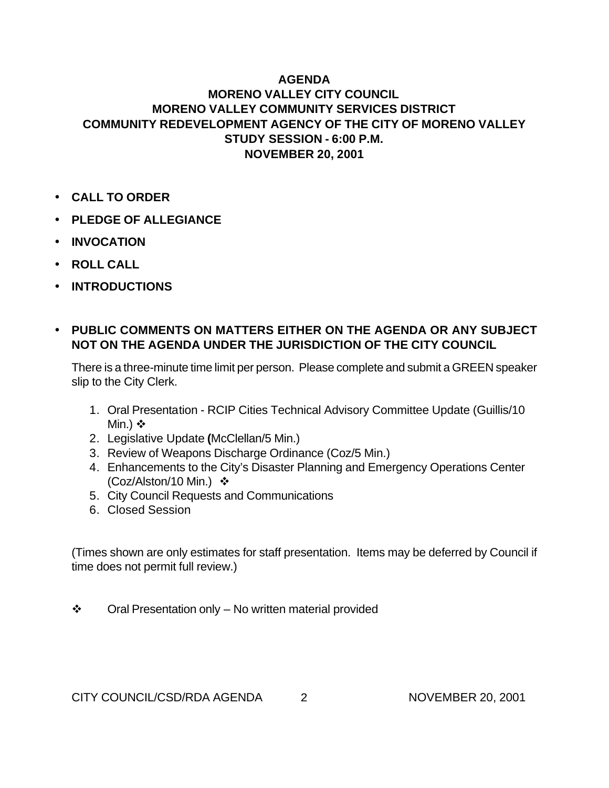## **AGENDA**

## **MORENO VALLEY CITY COUNCIL MORENO VALLEY COMMUNITY SERVICES DISTRICT COMMUNITY REDEVELOPMENT AGENCY OF THE CITY OF MORENO VALLEY STUDY SESSION - 6:00 P.M. NOVEMBER 20, 2001**

- **CALL TO ORDER**
- **PLEDGE OF ALLEGIANCE**
- **INVOCATION**
- **ROLL CALL**
- **INTRODUCTIONS**

## • **PUBLIC COMMENTS ON MATTERS EITHER ON THE AGENDA OR ANY SUBJECT NOT ON THE AGENDA UNDER THE JURISDICTION OF THE CITY COUNCIL**

There is a three-minute time limit per person. Please complete and submit a GREEN speaker slip to the City Clerk.

- 1. Oral Presentation RCIP Cities Technical Advisory Committee Update (Guillis/10 Min.)  $\diamond$
- 2. Legislative Update **(**McClellan/5 Min.)
- 3. Review of Weapons Discharge Ordinance (Coz/5 Min.)
- 4. Enhancements to the City's Disaster Planning and Emergency Operations Center (Coz/Alston/10 Min.)  $\div$
- 5. City Council Requests and Communications
- 6. Closed Session

(Times shown are only estimates for staff presentation. Items may be deferred by Council if time does not permit full review.)

 $\div$  Oral Presentation only – No written material provided